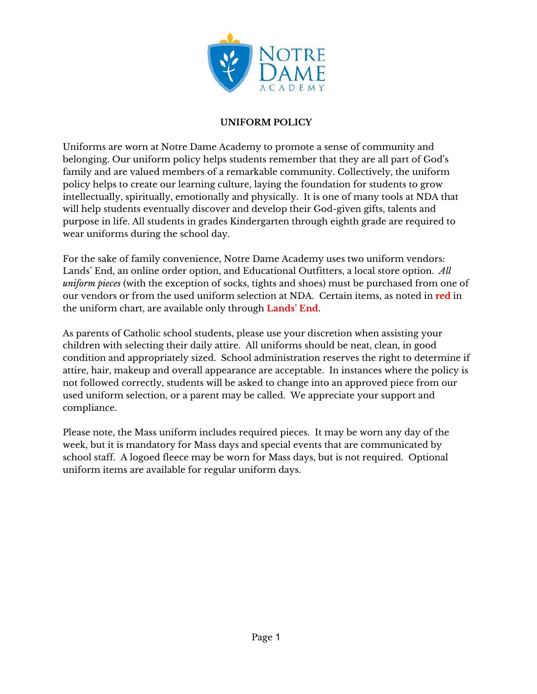

## **UNIFORM POLICY**

Uniforms are worn at Notre Dame Academy to promote a sense of community and belonging. Our uniform policy helps students remember that they are all part of God's family and are valued members of a remarkable community. Collectively, the uniform policy helps to create our learning culture, laying the foundation for students to grow intellectually, spiritually, emotionally and physically. It is one of many tools at NDA that will help students eventually discover and develop their God-given gifts, talents and purpose in life. All students in grades Kindergarten through eighth grade are required to wear uniforms during the school day.

For the sake of family convenience, Notre Dame Academy uses two uniform vendors: Lands' End, an online order option, and Educational Outfitters, a local store option. *All uniform pieces* (with the exception of socks, tights and shoes) must be purchased from one of our vendors or from the used uniform selection at NDA. Certain items, as noted in **red** in the uniform chart, are available only through **Lands' End**.

As parents of Catholic school students, please use your discretion when assisting your children with selecting their daily attire. All uniforms should be neat, clean, in good condition and appropriately sized. School administration reserves the right to determine if attire, hair, makeup and overall appearance are acceptable. In instances where the policy is not followed correctly, students will be asked to change into an approved piece from our used uniform selection, or a parent may be called. We appreciate your support and compliance.

Please note, the Mass uniform includes required pieces. It may be worn any day of the week, but it is mandatory for Mass days and special events that are communicated by school staff. A logoed fleece may be worn for Mass days, but is not required. Optional uniform items are available for regular uniform days.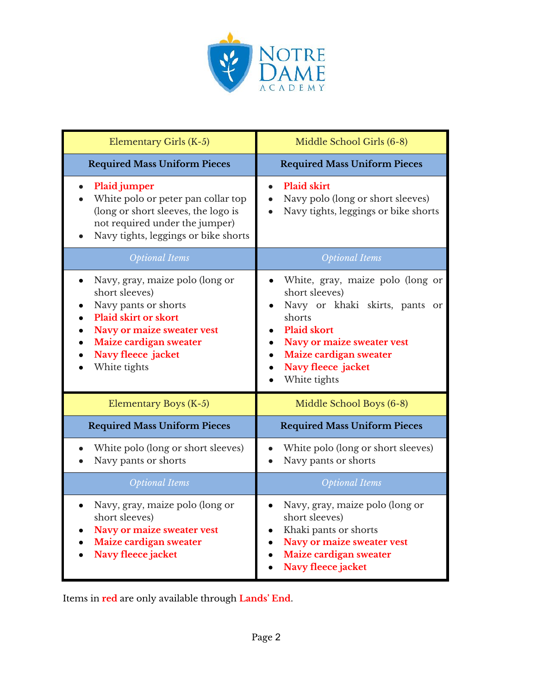

| Elementary Girls (K-5)                                                                                                                                                                                 | Middle School Girls (6-8)                                                                                                                                                                                          |
|--------------------------------------------------------------------------------------------------------------------------------------------------------------------------------------------------------|--------------------------------------------------------------------------------------------------------------------------------------------------------------------------------------------------------------------|
| <b>Required Mass Uniform Pieces</b>                                                                                                                                                                    | <b>Required Mass Uniform Pieces</b>                                                                                                                                                                                |
| Plaid jumper<br>White polo or peter pan collar top<br>(long or short sleeves, the logo is<br>not required under the jumper)<br>Navy tights, leggings or bike shorts                                    | <b>Plaid skirt</b><br>Navy polo (long or short sleeves)<br>Navy tights, leggings or bike shorts                                                                                                                    |
| <b>Optional Items</b>                                                                                                                                                                                  | Optional Items                                                                                                                                                                                                     |
| Navy, gray, maize polo (long or<br>short sleeves)<br>Navy pants or shorts<br><b>Plaid skirt or skort</b><br>Navy or maize sweater vest<br>Maize cardigan sweater<br>Navy fleece jacket<br>White tights | White, gray, maize polo (long or<br>short sleeves)<br>Navy or khaki skirts, pants or<br>shorts<br><b>Plaid skort</b><br>Navy or maize sweater vest<br>Maize cardigan sweater<br>Navy fleece jacket<br>White tights |
| Elementary Boys (K-5)                                                                                                                                                                                  | Middle School Boys (6-8)                                                                                                                                                                                           |
| <b>Required Mass Uniform Pieces</b>                                                                                                                                                                    | <b>Required Mass Uniform Pieces</b>                                                                                                                                                                                |
| White polo (long or short sleeves)<br>Navy pants or shorts                                                                                                                                             | White polo (long or short sleeves)<br>Navy pants or shorts                                                                                                                                                         |
| <b>Optional Items</b>                                                                                                                                                                                  | <b>Optional Items</b>                                                                                                                                                                                              |
| Navy, gray, maize polo (long or<br>short sleeves)<br>Navy or maize sweater vest<br>Maize cardigan sweater<br>Navy fleece jacket                                                                        | Navy, gray, maize polo (long or<br>short sleeves)<br>Khaki pants or shorts<br>Navy or maize sweater vest<br>Maize cardigan sweater<br>Navy fleece jacket                                                           |

Items in **red** are only available through **Lands' End**.

L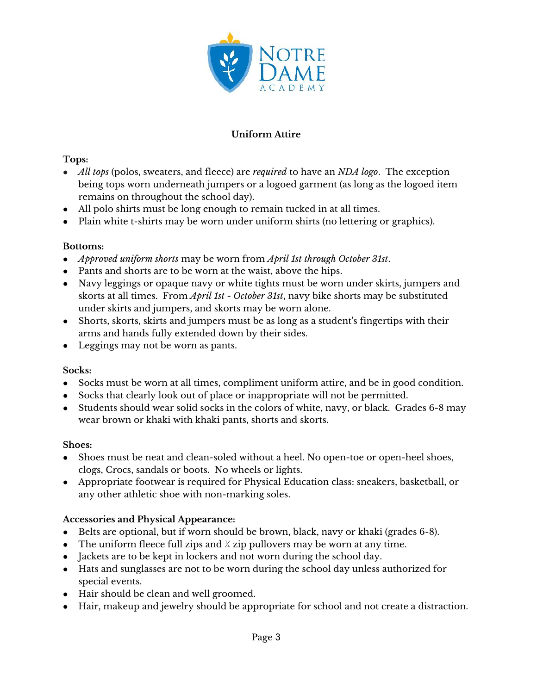

# **Uniform Attire**

## **Tops:**

- *All tops* (polos, sweaters, and fleece) are *required* to have an *NDA logo*. The exception being tops worn underneath jumpers or a logoed garment (as long as the logoed item remains on throughout the school day).
- All polo shirts must be long enough to remain tucked in at all times.
- Plain white t-shirts may be worn under uniform shirts (no lettering or graphics).

#### **Bottoms:**

- *Approved uniform shorts* may be worn from *April 1st through October 31st*.
- Pants and shorts are to be worn at the waist, above the hips.
- Navy leggings or opaque navy or white tights must be worn under skirts, jumpers and skorts at all times. From *April 1st - October 31st*, navy bike shorts may be substituted under skirts and jumpers, and skorts may be worn alone.
- Shorts, skorts, skirts and jumpers must be as long as a student's fingertips with their arms and hands fully extended down by their sides.
- Leggings may not be worn as pants.

## **Socks:**

- Socks must be worn at all times, compliment uniform attire, and be in good condition.
- Socks that clearly look out of place or inappropriate will not be permitted.
- Students should wear solid socks in the colors of white, navy, or black. Grades 6-8 may wear brown or khaki with khaki pants, shorts and skorts.

## **Shoes:**

- Shoes must be neat and clean-soled without a heel. No open-toe or open-heel shoes, clogs, Crocs, sandals or boots. No wheels or lights.
- Appropriate footwear is required for Physical Education class: sneakers, basketball, or any other athletic shoe with non-marking soles.

## **Accessories and Physical Appearance:**

- Belts are optional, but if worn should be brown, black, navy or khaki (grades 6-8).
- The uniform fleece full zips and  $\frac{1}{4}$  zip pullovers may be worn at any time.
- Jackets are to be kept in lockers and not worn during the school day.
- Hats and sunglasses are not to be worn during the school day unless authorized for special events.
- Hair should be clean and well groomed.
- Hair, makeup and jewelry should be appropriate for school and not create a distraction.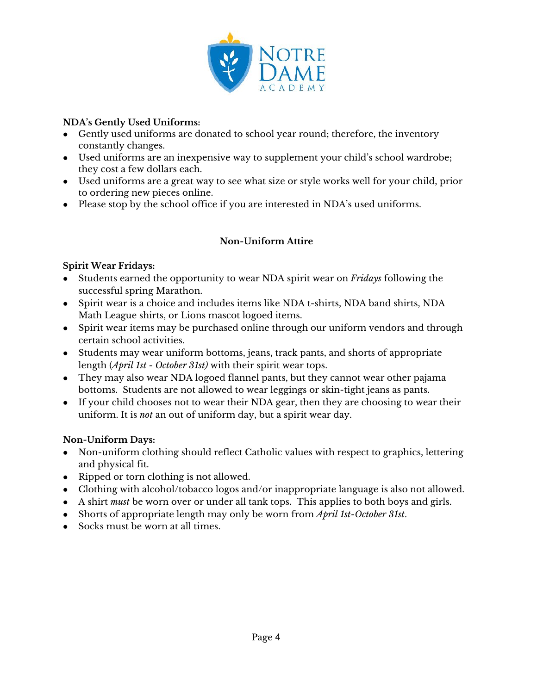

## **NDA's Gently Used Uniforms:**

- Gently used uniforms are donated to school year round; therefore, the inventory constantly changes.
- Used uniforms are an inexpensive way to supplement your child's school wardrobe; they cost a few dollars each.
- Used uniforms are a great way to see what size or style works well for your child, prior to ordering new pieces online.
- Please stop by the school office if you are interested in NDA's used uniforms.

# **Non-Uniform Attire**

## **Spirit Wear Fridays:**

- **●** Students earned the opportunity to wear NDA spirit wear on *Fridays* following the successful spring Marathon.
- **●** Spirit wear is a choice and includes items like NDA t-shirts, NDA band shirts, NDA Math League shirts, or Lions mascot logoed items.
- Spirit wear items may be purchased online through our uniform vendors and through certain school activities.
- Students may wear uniform bottoms, jeans, track pants, and shorts of appropriate length (*April 1st - October 31st)* with their spirit wear tops.
- **●** They may also wear NDA logoed flannel pants, but they cannot wear other pajama bottoms. Students are not allowed to wear leggings or skin-tight jeans as pants.
- **●** If your child chooses not to wear their NDA gear, then they are choosing to wear their uniform. It is *not* an out of uniform day, but a spirit wear day.

## **Non-Uniform Days:**

- Non-uniform clothing should reflect Catholic values with respect to graphics, lettering and physical fit.
- Ripped or torn clothing is not allowed.
- Clothing with alcohol/tobacco logos and/or inappropriate language is also not allowed.
- A shirt *must* be worn over or under all tank tops. This applies to both boys and girls.
- Shorts of appropriate length may only be worn from *April 1st-October 31st*.
- Socks must be worn at all times.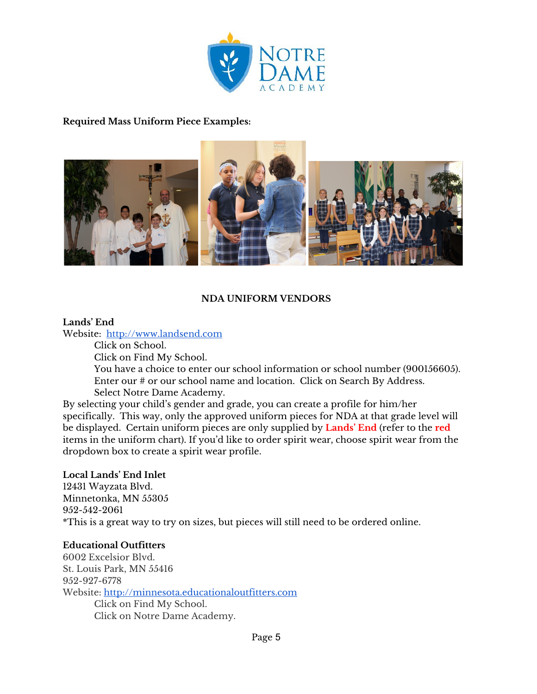

## **Required Mass Uniform Piece Examples:**



## **NDA UNIFORM VENDORS**

#### **Lands' End**

Website: [http://www.landsend.com](http://www.landsend.com/)

Click on School. Click on Find My School. You have a choice to enter our school information or school number (900156605). Enter our # or our school name and location. Click on Search By Address.

Select Notre Dame Academy.

By selecting your child's gender and grade, you can create a profile for him/her specifically. This way, only the approved uniform pieces for NDA at that grade level will be displayed. Certain uniform pieces are only supplied by **Lands' End** (refer to the **red** items in the uniform chart). If you'd like to order spirit wear, choose spirit wear from the dropdown box to create a spirit wear profile.

## **Local Lands' End Inlet**

12431 Wayzata Blvd. Minnetonka, MN 55305 952-542-2061 \*This is a great way to try on sizes, but pieces will still need to be ordered online.

#### **Educational Outfitters**

6002 Excelsior Blvd. St. Louis Park, MN 55416 952-927-6778 Website: [http://minnesota.educationaloutfitters.com](http://minnesota.educationaloutfitters.com/) Click on Find My School. Click on Notre Dame Academy.